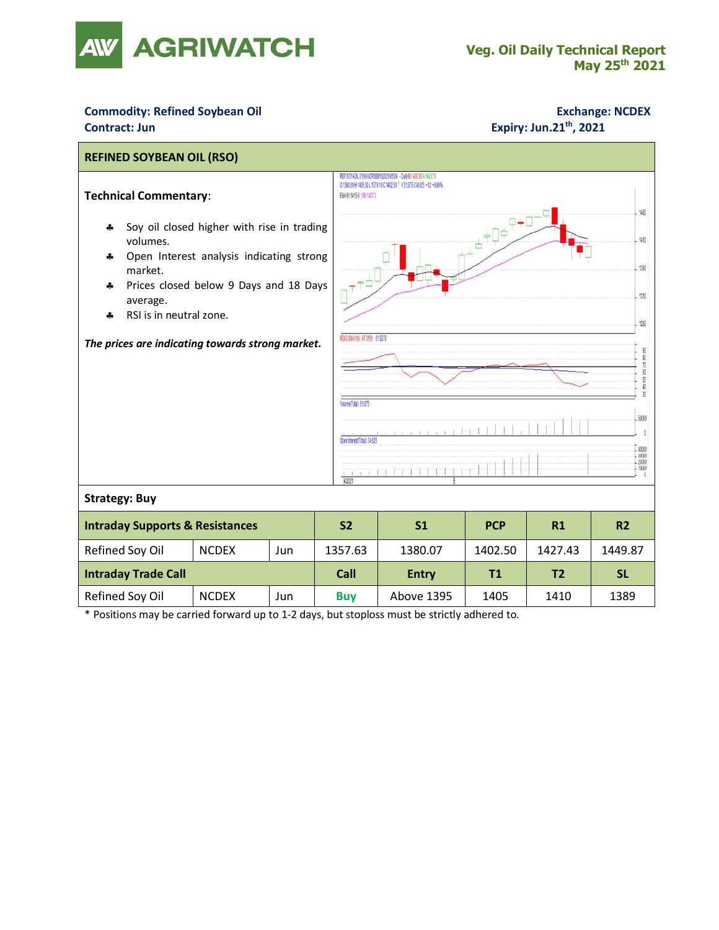

## **Commodity: Refined Soybean Oil <b>Exchange: NCDEX Contract: Jun** Expiry: Jun.21<sup>th</sup>, 2021



\* Positions may be carried forward up to 1-2 days, but stoploss must be strictly adhered to.